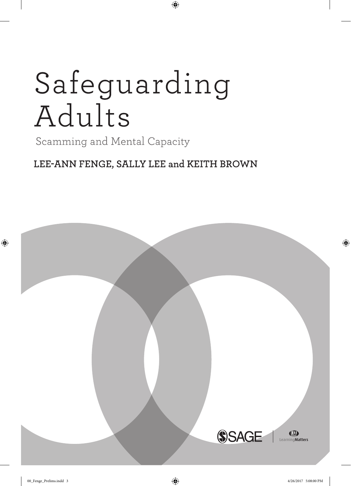# Safeguarding Adults

Scamming and Mental Capacity

## LEE-ANN FENGE, SALLY LEE and KEITH BROWN

 $\bigoplus$ 

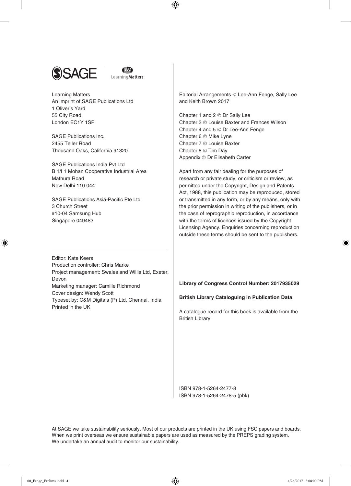



 $\bigoplus$ 

Learning Matters An imprint of SAGE Publications Ltd 1 Oliver's Yard 55 City Road London EC1Y 1SP

SAGE Publications Inc. 2455 Teller Road Thousand Oaks, California 91320

SAGE Publications India Pvt Ltd B 1/I 1 Mohan Cooperative Industrial Area Mathura Road New Delhi 110 044

SAGE Publications Asia-Pacific Pte Ltd 3 Church Street #10-04 Samsung Hub Singapore 049483

Editorial Arrangements © Lee-Ann Fenge, Sally Lee and Keith Brown 2017

Chapter 1 and 2 © Dr Sally Lee Chapter 3 © Louise Baxter and Frances Wilson Chapter 4 and 5  $\odot$  Dr Lee-Ann Fenge Chapter 6 © Mike Lyne Chapter 7 © Louise Baxter Chapter  $8 \circ$  Tim Day Appendix © Dr Elisabeth Carter

Apart from any fair dealing for the purposes of research or private study, or criticism or review, as permitted under the Copyright, Design and Patents Act, 1988, this publication may be reproduced, stored or transmitted in any form, or by any means, only with the prior permission in writing of the publishers, or in the case of reprographic reproduction, in accordance with the terms of licences issued by the Copyright Licensing Agency. Enquiries concerning reproduction outside these terms should be sent to the publishers.

Editor: Kate Keers Production controller: Chris Marke Project management: Swales and Willis Ltd, Exeter, Devon Marketing manager: Camille Richmond Cover design: Wendy Scott Typeset by: C&M Digitals (P) Ltd, Chennai, India Printed in the UK

**Library of Congress Control Number: 2017935029**

**British Library Cataloguing in Publication Data**

A catalogue record for this book is available from the British Library

ISBN 978-1-5264-2477-8 ISBN 978-1-5264-2478-5 (pbk)

At SAGE we take sustainability seriously. Most of our products are printed in the UK using FSC papers and boards. When we print overseas we ensure sustainable papers are used as measured by the PREPS grading system. We undertake an annual audit to monitor our sustainability.

⊕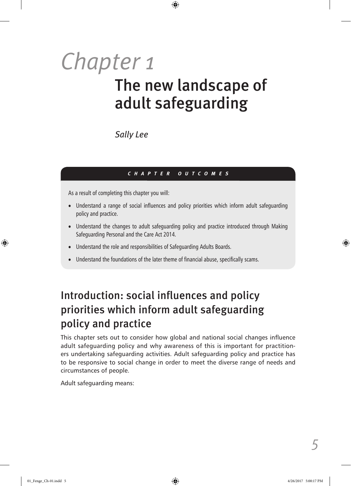$\bigoplus$ 

*Sally Lee*

#### *CHAPTER OUTCOMES*

As a result of completing this chapter you will:

- Understand a range of social influences and policy priorities which inform adult safeguarding policy and practice.
- Understand the changes to adult safeguarding policy and practice introduced through Making Safeguarding Personal and the Care Act 2014.
- Understand the role and responsibilities of Safeguarding Adults Boards.
- Understand the foundations of the later theme of financial abuse, specifically scams.

## Introduction: social influences and policy priorities which inform adult safeguarding policy and practice

This chapter sets out to consider how global and national social changes influence adult safeguarding policy and why awareness of this is important for practitioners undertaking safeguarding activities. Adult safeguarding policy and practice has to be responsive to social change in order to meet the diverse range of needs and circumstances of people.

Adult safeguarding means:

⊕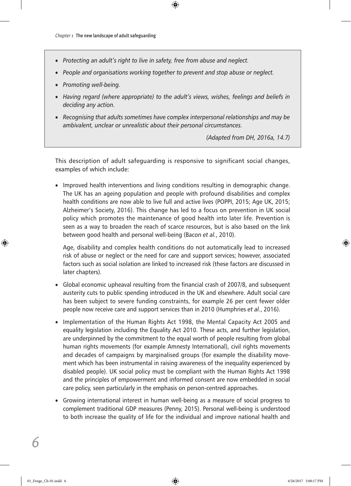- *Protecting an adult's right to live in safety, free from abuse and neglect.*
- *People and organisations working together to prevent and stop abuse or neglect.*
- *Promoting well-being.*
- *Having regard (where appropriate) to the adult's views, wishes, feelings and beliefs in deciding any action.*

 $\bigcirc$ 

• *Recognising that adults sometimes have complex interpersonal relationships and may be ambivalent, unclear or unrealistic about their personal circumstances.*

*(Adapted from DH, 2016a, 14.7)*

This description of adult safeguarding is responsive to significant social changes, examples of which include:

• Improved health interventions and living conditions resulting in demographic change. The UK has an ageing population and people with profound disabilities and complex health conditions are now able to live full and active lives (POPPI, 2015; Age UK, 2015; Alzheimer's Society, 2016). This change has led to a focus on prevention in UK social policy which promotes the maintenance of good health into later life. Prevention is seen as a way to broaden the reach of scarce resources, but is also based on the link between good health and personal well-being (Bacon *et al.*, 2010).

Age, disability and complex health conditions do not automatically lead to increased risk of abuse or neglect or the need for care and support services; however, associated factors such as social isolation are linked to increased risk (these factors are discussed in later chapters).

- Global economic upheaval resulting from the financial crash of 2007/8, and subsequent austerity cuts to public spending introduced in the UK and elsewhere. Adult social care has been subject to severe funding constraints, for example 26 per cent fewer older people now receive care and support services than in 2010 (Humphries *et al.*, 2016).
- Implementation of the Human Rights Act 1998, the Mental Capacity Act 2005 and equality legislation including the Equality Act 2010. These acts, and further legislation, are underpinned by the commitment to the equal worth of people resulting from global human rights movements (for example Amnesty International), civil rights movements and decades of campaigns by marginalised groups (for example the disability movement which has been instrumental in raising awareness of the inequality experienced by disabled people). UK social policy must be compliant with the Human Rights Act 1998 and the principles of empowerment and informed consent are now embedded in social care policy, seen particularly in the emphasis on person-centred approaches.
- Growing international interest in human well-being as a measure of social progress to complement traditional GDP measures (Penny, 2015). Personal well-being is understood to both increase the quality of life for the individual and improve national health and

*6*

⊕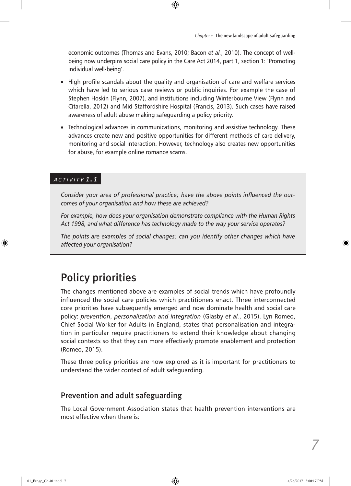economic outcomes (Thomas and Evans, 2010; Bacon *et al.*, 2010). The concept of wellbeing now underpins social care policy in the Care Act 2014, part 1, section 1: 'Promoting individual well-being'.

 $\bigcirc$ 

- High profile scandals about the quality and organisation of care and welfare services which have led to serious case reviews or public inquiries. For example the case of Stephen Hoskin (Flynn, 2007), and institutions including Winterbourne View (Flynn and Citarella, 2012) and Mid Staffordshire Hospital (Francis, 2013). Such cases have raised awareness of adult abuse making safeguarding a policy priority.
- Technological advances in communications, monitoring and assistive technology. These advances create new and positive opportunities for different methods of care delivery, monitoring and social interaction. However, technology also creates new opportunities for abuse, for example online romance scams.

#### *ACTIVITY 1.1*

⊕

*Consider your area of professional practice; have the above points influenced the outcomes of your organisation and how these are achieved?*

*For example, how does your organisation demonstrate compliance with the Human Rights Act 1998, and what difference has technology made to the way your service operates?*

*The points are examples of social changes; can you identify other changes which have affected your organisation?*

## Policy priorities

The changes mentioned above are examples of social trends which have profoundly influenced the social care policies which practitioners enact. Three interconnected core priorities have subsequently emerged and now dominate health and social care policy: *prevention*, *personalisation and integration* (Glasby *et al.*, 2015). Lyn Romeo, Chief Social Worker for Adults in England, states that personalisation and integration in particular require practitioners to extend their knowledge about changing social contexts so that they can more effectively promote enablement and protection (Romeo, 2015).

These three policy priorities are now explored as it is important for practitioners to understand the wider context of adult safeguarding.

#### Prevention and adult safeguarding

The Local Government Association states that health prevention interventions are most effective when there is: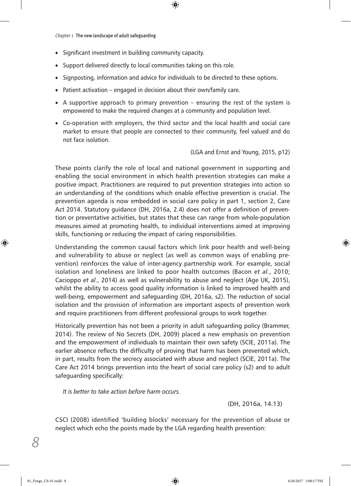- Significant investment in building community capacity.
- Support delivered directly to local communities taking on this role.
- Signposting, information and advice for individuals to be directed to these options.
- Patient activation engaged in decision about their own/family care.
- A supportive approach to primary prevention ensuring the rest of the system is empowered to make the required changes at a community and population level.

 $\bigcirc$ 

• Co-operation with employers, the third sector and the local health and social care market to ensure that people are connected to their community, feel valued and do not face isolation.

(LGA and Ernst and Young, 2015, p12)

These points clarify the role of local and national government in supporting and enabling the social environment in which health prevention strategies can make a positive impact. Practitioners are required to put prevention strategies into action so an understanding of the conditions which enable effective prevention is crucial. The prevention agenda is now embedded in social care policy in part 1, section 2, Care Act 2014. Statutory guidance (DH, 2016a, 2.4) does not offer a definition of prevention or preventative activities, but states that these can range from whole-population measures aimed at promoting health, to individual interventions aimed at improving skills, functioning or reducing the impact of caring responsibilities.

Understanding the common causal factors which link poor health and well-being and vulnerability to abuse or neglect (as well as common ways of enabling prevention) reinforces the value of inter-agency partnership work. For example, social isolation and loneliness are linked to poor health outcomes (Bacon *et al.*, 2010; Cacioppo *et al*., 2014) as well as vulnerability to abuse and neglect (Age UK, 2015), whilst the ability to access good quality information is linked to improved health and well-being, empowerment and safeguarding (DH, 2016a, s2). The reduction of social isolation and the provision of information are important aspects of prevention work and require practitioners from different professional groups to work together.

Historically prevention has not been a priority in adult safeguarding policy (Brammer, 2014). The review of No Secrets (DH, 2009) placed a new emphasis on prevention and the empowerment of individuals to maintain their own safety (SCIE, 2011a). The earlier absence reflects the difficulty of proving that harm has been prevented which, in part, results from the secrecy associated with abuse and neglect (SCIE, 2011a). The Care Act 2014 brings prevention into the heart of social care policy (s2) and to adult safeguarding specifically:

*It is better to take action before harm occurs.*

(DH, 2016a, 14.13)

CSCI (2008) identified 'building blocks' necessary for the prevention of abuse or neglect which echo the points made by the LGA regarding health prevention:

*8*

⊕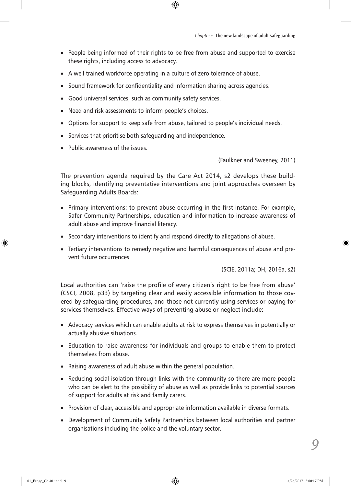• People being informed of their rights to be free from abuse and supported to exercise these rights, including access to advocacy.

 $\bigcirc$ 

- A well trained workforce operating in a culture of zero tolerance of abuse.
- Sound framework for confidentiality and information sharing across agencies.
- Good universal services, such as community safety services.
- Need and risk assessments to inform people's choices.
- Options for support to keep safe from abuse, tailored to people's individual needs.
- Services that prioritise both safeguarding and independence.
- Public awareness of the issues.

(Faulkner and Sweeney, 2011)

The prevention agenda required by the Care Act 2014, s2 develops these building blocks, identifying preventative interventions and joint approaches overseen by Safeguarding Adults Boards:

- Primary interventions: to prevent abuse occurring in the first instance. For example, Safer Community Partnerships, education and information to increase awareness of adult abuse and improve financial literacy.
- Secondary interventions to identify and respond directly to allegations of abuse.
- Tertiary interventions to remedy negative and harmful consequences of abuse and prevent future occurrences.

(SCIE, 2011a; DH, 2016a, s2)

Local authorities can 'raise the profile of every citizen's right to be free from abuse' (CSCI, 2008, p33) by targeting clear and easily accessible information to those covered by safeguarding procedures, and those not currently using services or paying for services themselves. Effective ways of preventing abuse or neglect include:

- Advocacy services which can enable adults at risk to express themselves in potentially or actually abusive situations.
- Education to raise awareness for individuals and groups to enable them to protect themselves from abuse.
- Raising awareness of adult abuse within the general population.
- Reducing social isolation through links with the community so there are more people who can be alert to the possibility of abuse as well as provide links to potential sources of support for adults at risk and family carers.
- Provision of clear, accessible and appropriate information available in diverse formats.
- Development of Community Safety Partnerships between local authorities and partner organisations including the police and the voluntary sector.

*9*

⊕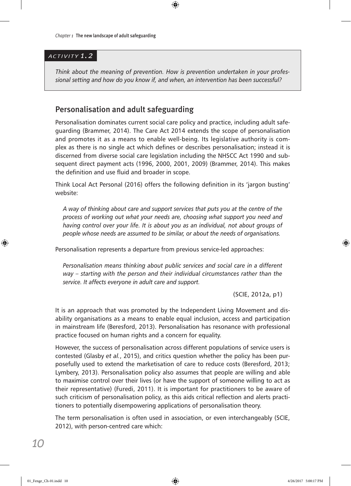#### *ACTIVITY 1.2*

*Think about the meaning of prevention. How is prevention undertaken in your professional setting and how do you know if, and when, an intervention has been successful?*

⊕

#### Personalisation and adult safeguarding

Personalisation dominates current social care policy and practice, including adult safeguarding (Brammer, 2014). The Care Act 2014 extends the scope of personalisation and promotes it as a means to enable well-being. Its legislative authority is complex as there is no single act which defines or describes personalisation; instead it is discerned from diverse social care legislation including the NHSCC Act 1990 and subsequent direct payment acts (1996, 2000, 2001, 2009) (Brammer, 2014). This makes the definition and use fluid and broader in scope.

Think Local Act Personal (2016) offers the following definition in its 'jargon busting' website:

*A way of thinking about care and support services that puts you at the centre of the process of working out what your needs are, choosing what support you need and having control over your life. It is about you as an individual, not about groups of people whose needs are assumed to be similar, or about the needs of organisations.*

Personalisation represents a departure from previous service-led approaches:

*Personalisation means thinking about public services and social care in a different way – starting with the person and their individual circumstances rather than the service. It affects everyone in adult care and support.*

(SCIE, 2012a, p1)

It is an approach that was promoted by the Independent Living Movement and disability organisations as a means to enable equal inclusion, access and participation in mainstream life (Beresford, 2013). Personalisation has resonance with professional practice focused on human rights and a concern for equality.

However, the success of personalisation across different populations of service users is contested (Glasby *et al.*, 2015), and critics question whether the policy has been purposefully used to extend the marketisation of care to reduce costs (Beresford, 2013; Lymbery, 2013). Personalisation policy also assumes that people are willing and able to maximise control over their lives (or have the support of someone willing to act as their representative) (Furedi, 2011). It is important for practitioners to be aware of such criticism of personalisation policy, as this aids critical reflection and alerts practitioners to potentially disempowering applications of personalisation theory.

The term personalisation is often used in association, or even interchangeably (SCIE, 2012), with person-centred care which:

⊕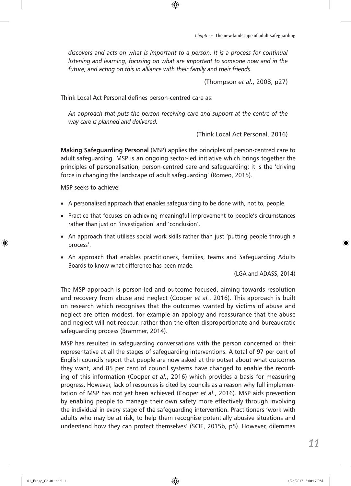*discovers and acts on what is important to a person. It is a process for continual listening and learning, focusing on what are important to someone now and in the future, and acting on this in alliance with their family and their friends.*

 $\bigcirc$ 

(Thompson *et al.*, 2008, p27)

Think Local Act Personal defines person-centred care as:

*An approach that puts the person receiving care and support at the centre of the way care is planned and delivered.*

(Think Local Act Personal, 2016)

**Making Safeguarding Personal** (MSP) applies the principles of person-centred care to adult safeguarding. MSP is an ongoing sector-led initiative which brings together the principles of personalisation, person-centred care and safeguarding; it is the 'driving force in changing the landscape of adult safeguarding' (Romeo, 2015).

MSP seeks to achieve:

- A personalised approach that enables safeguarding to be done with, not to, people.
- Practice that focuses on achieving meaningful improvement to people's circumstances rather than just on 'investigation' and 'conclusion'.
- An approach that utilises social work skills rather than just 'putting people through a process'.
- An approach that enables practitioners, families, teams and Safeguarding Adults Boards to know what difference has been made.

(LGA and ADASS, 2014)

The MSP approach is person-led and outcome focused, aiming towards resolution and recovery from abuse and neglect (Cooper *et al.*, 2016). This approach is built on research which recognises that the outcomes wanted by victims of abuse and neglect are often modest, for example an apology and reassurance that the abuse and neglect will not reoccur, rather than the often disproportionate and bureaucratic safeguarding process (Brammer, 2014).

MSP has resulted in safeguarding conversations with the person concerned or their representative at all the stages of safeguarding interventions. A total of 97 per cent of English councils report that people are now asked at the outset about what outcomes they want, and 85 per cent of council systems have changed to enable the recording of this information (Cooper *et al.*, 2016) which provides a basis for measuring progress. However, lack of resources is cited by councils as a reason why full implementation of MSP has not yet been achieved (Cooper *et al.*, 2016). MSP aids prevention by enabling people to manage their own safety more effectively through involving the individual in every stage of the safeguarding intervention. Practitioners 'work with adults who may be at risk, to help them recognise potentially abusive situations and understand how they can protect themselves' (SCIE, 2015b, p5). However, dilemmas

⊕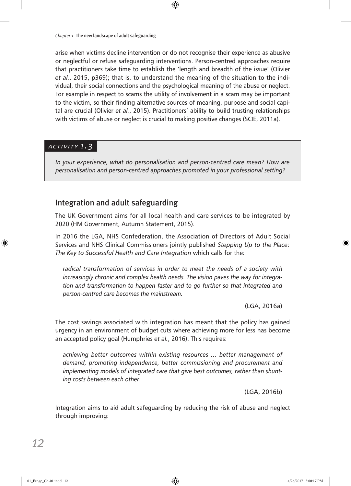arise when victims decline intervention or do not recognise their experience as abusive or neglectful or refuse safeguarding interventions. Person-centred approaches require that practitioners take time to establish the 'length and breadth of the issue' (Olivier *et al.*, 2015, p369); that is, to understand the meaning of the situation to the individual, their social connections and the psychological meaning of the abuse or neglect. For example in respect to scams the utility of involvement in a scam may be important to the victim, so their finding alternative sources of meaning, purpose and social capital are crucial (Olivier *et al.*, 2015). Practitioners' ability to build trusting relationships with victims of abuse or neglect is crucial to making positive changes (SCIE, 2011a).

⊕

#### *ACTIVITY 1.3*

*In your experience, what do personalisation and person-centred care mean? How are personalisation and person-centred approaches promoted in your professional setting?*

#### Integration and adult safeguarding

The UK Government aims for all local health and care services to be integrated by 2020 (HM Government, Autumn Statement, 2015).

In 2016 the LGA, NHS Confederation, the Association of Directors of Adult Social Services and NHS Clinical Commissioners jointly published *Stepping Up to the Place: The Key to Successful Health and Care Integration* which calls for the:

*radical transformation of services in order to meet the needs of a society with increasingly chronic and complex health needs. The vision paves the way for integration and transformation to happen faster and to go further so that integrated and person-centred care becomes the mainstream.*

(LGA, 2016a)

The cost savings associated with integration has meant that the policy has gained urgency in an environment of budget cuts where achieving more for less has become an accepted policy goal (Humphries *et al.*, 2016). This requires:

*achieving better outcomes within existing resources … better management of demand, promoting independence, better commissioning and procurement and implementing models of integrated care that give best outcomes, rather than shunting costs between each other.*

(LGA, 2016b)

Integration aims to aid adult safeguarding by reducing the risk of abuse and neglect through improving:

*12*

⊕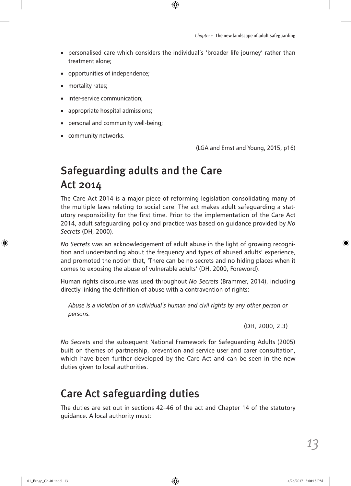• personalised care which considers the individual's 'broader life journey' rather than treatment alone;

 $\bigoplus$ 

- opportunities of independence;
- mortality rates;
- inter-service communication;
- appropriate hospital admissions;
- personal and community well-being;
- community networks.

(LGA and Ernst and Young, 2015, p16)

## Safeguarding adults and the Care Act 2014

The Care Act 2014 is a major piece of reforming legislation consolidating many of the multiple laws relating to social care. The act makes adult safeguarding a statutory responsibility for the first time. Prior to the implementation of the Care Act 2014, adult safeguarding policy and practice was based on guidance provided by *No Secrets* (DH, 2000).

*No Secrets* was an acknowledgement of adult abuse in the light of growing recognition and understanding about the frequency and types of abused adults' experience, and promoted the notion that, 'There can be no secrets and no hiding places when it comes to exposing the abuse of vulnerable adults' (DH, 2000, Foreword).

Human rights discourse was used throughout *No Secrets* (Brammer, 2014), including directly linking the definition of abuse with a contravention of rights:

*Abuse is a violation of an individual's human and civil rights by any other person or persons.*

(DH, 2000, 2.3)

*No Secrets* and the subsequent National Framework for Safeguarding Adults (2005) built on themes of partnership, prevention and service user and carer consultation, which have been further developed by the Care Act and can be seen in the new duties given to local authorities.

## Care Act safeguarding duties

The duties are set out in sections 42–46 of the act and Chapter 14 of the statutory guidance. A local authority must:

⊕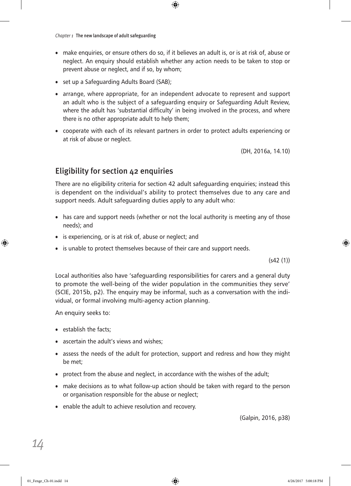• make enquiries, or ensure others do so, if it believes an adult is, or is at risk of, abuse or neglect. An enquiry should establish whether any action needs to be taken to stop or prevent abuse or neglect, and if so, by whom;

 $\bigcirc$ 

- set up a Safeguarding Adults Board (SAB);
- arrange, where appropriate, for an independent advocate to represent and support an adult who is the subject of a safeguarding enquiry or Safeguarding Adult Review, where the adult has 'substantial difficulty' in being involved in the process, and where there is no other appropriate adult to help them;
- cooperate with each of its relevant partners in order to protect adults experiencing or at risk of abuse or neglect.

(DH, 2016a, 14.10)

#### Eligibility for section 42 enquiries

There are no eligibility criteria for section 42 adult safeguarding enquiries; instead this is dependent on the individual's ability to protect themselves due to any care and support needs. Adult safeguarding duties apply to any adult who:

- has care and support needs (whether or not the local authority is meeting any of those needs); and
- is experiencing, or is at risk of, abuse or neglect; and
- is unable to protect themselves because of their care and support needs.

(s42 (1))

⊕

Local authorities also have 'safeguarding responsibilities for carers and a general duty to promote the well-being of the wider population in the communities they serve' (SCIE, 2015b, p2). The enquiry may be informal, such as a conversation with the individual, or formal involving multi-agency action planning.

An enquiry seeks to:

- establish the facts;
- ascertain the adult's views and wishes;
- assess the needs of the adult for protection, support and redress and how they might be met;
- protect from the abuse and neglect, in accordance with the wishes of the adult;
- make decisions as to what follow-up action should be taken with regard to the person or organisation responsible for the abuse or neglect;
- enable the adult to achieve resolution and recovery.

(Galpin, 2016, p38)

*14*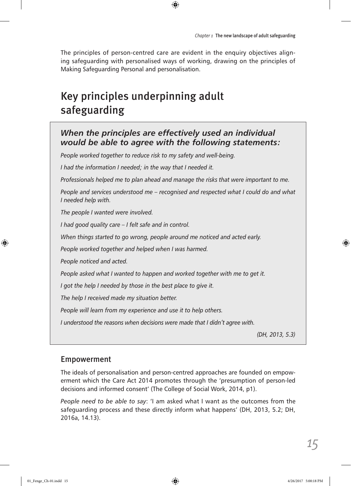The principles of person-centred care are evident in the enquiry objectives aligning safeguarding with personalised ways of working, drawing on the principles of Making Safeguarding Personal and personalisation.

 $\bigoplus$ 

## Key principles underpinning adult safeguarding

#### *When the principles are effectively used an individual would be able to agree with the following statements:*

*People worked together to reduce risk to my safety and well-being.*

*I had the information I needed; in the way that I needed it.*

*Professionals helped me to plan ahead and manage the risks that were important to me.*

*People and services understood me – recognised and respected what I could do and what I needed help with.*

*The people I wanted were involved.*

*I had good quality care – I felt safe and in control.*

*When things started to go wrong, people around me noticed and acted early.*

*People worked together and helped when I was harmed.*

*People noticed and acted.*

*People asked what I wanted to happen and worked together with me to get it.*

*I got the help I needed by those in the best place to give it.*

*The help I received made my situation better.*

*People will learn from my experience and use it to help others.*

*I understood the reasons when decisions were made that I didn't agree with.*

*(DH, 2013, 5.3)*

#### Empowerment

The ideals of personalisation and person-centred approaches are founded on empowerment which the Care Act 2014 promotes through the 'presumption of person-led decisions and informed consent' (The College of Social Work, 2014, p1).

*People need to be able to say*: 'I am asked what I want as the outcomes from the safeguarding process and these directly inform what happens' (DH, 2013, 5.2; DH, 2016a, 14.13).

⊕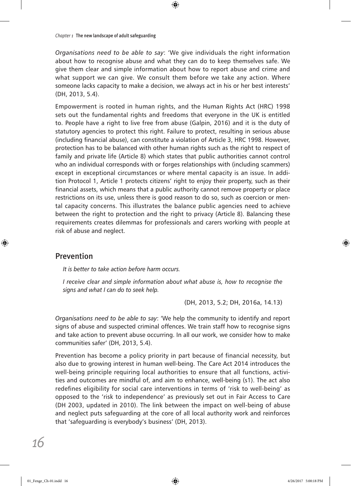*Organisations need to be able to say*: 'We give individuals the right information about how to recognise abuse and what they can do to keep themselves safe. We give them clear and simple information about how to report abuse and crime and what support we can give. We consult them before we take any action. Where someone lacks capacity to make a decision, we always act in his or her best interests' (DH, 2013, 5.4).

 $\bigcirc$ 

Empowerment is rooted in human rights, and the Human Rights Act (HRC) 1998 sets out the fundamental rights and freedoms that everyone in the UK is entitled to. People have a right to live free from abuse (Galpin, 2016) and it is the duty of statutory agencies to protect this right. Failure to protect, resulting in serious abuse (including financial abuse), can constitute a violation of Article 3, HRC 1998. However, protection has to be balanced with other human rights such as the right to respect of family and private life (Article 8) which states that public authorities cannot control who an individual corresponds with or forges relationships with (including scammers) except in exceptional circumstances or where mental capacity is an issue. In addition Protocol 1, Article 1 protects citizens' right to enjoy their property, such as their financial assets, which means that a public authority cannot remove property or place restrictions on its use, unless there is good reason to do so, such as coercion or mental capacity concerns. This illustrates the balance public agencies need to achieve between the right to protection and the right to privacy (Article 8). Balancing these requirements creates dilemmas for professionals and carers working with people at risk of abuse and neglect.

#### Prevention

⊕

*It is better to take action before harm occurs.*

*I receive clear and simple information about what abuse is, how to recognise the signs and what I can do to seek help.*

(DH, 2013, 5.2; DH, 2016a, 14.13)

*Organisations need to be able to say*: 'We help the community to identify and report signs of abuse and suspected criminal offences. We train staff how to recognise signs and take action to prevent abuse occurring. In all our work, we consider how to make communities safer' (DH, 2013, 5.4).

Prevention has become a policy priority in part because of financial necessity, but also due to growing interest in human well-being. The Care Act 2014 introduces the well-being principle requiring local authorities to ensure that all functions, activities and outcomes are mindful of, and aim to enhance, well-being (s1). The act also redefines eligibility for social care interventions in terms of 'risk to well-being' as opposed to the 'risk to independence' as previously set out in Fair Access to Care (DH 2003, updated in 2010). The link between the impact on well-being of abuse and neglect puts safeguarding at the core of all local authority work and reinforces that 'safeguarding is everybody's business' (DH, 2013).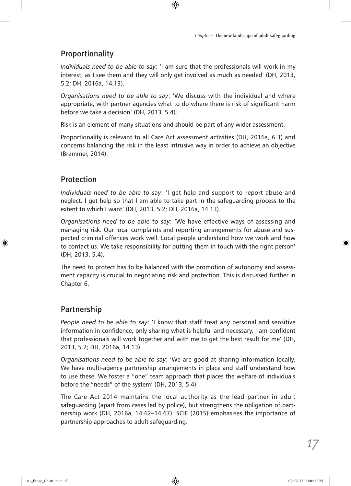#### Proportionality

*Individuals need to be able to say*: 'I am sure that the professionals will work in my interest, as I see them and they will only get involved as much as needed' (DH, 2013, 5.2; DH, 2016a, 14.13).

 $\bigcirc$ 

*Organisations need to be able to say*: 'We discuss with the individual and where appropriate, with partner agencies what to do where there is risk of significant harm before we take a decision' (DH, 2013, 5.4).

Risk is an element of many situations and should be part of any wider assessment.

Proportionality is relevant to all Care Act assessment activities (DH, 2016a, 6.3) and concerns balancing the risk in the least intrusive way in order to achieve an objective (Brammer, 2014).

#### Protection

⊕

*Individuals need to be able to say*: 'I get help and support to report abuse and neglect. I get help so that I am able to take part in the safeguarding process to the extent to which I want' (DH, 2013, 5.2; DH, 2016a, 14.13).

*Organisations need to be able to say*: 'We have effective ways of assessing and managing risk. Our local complaints and reporting arrangements for abuse and suspected criminal offences work well. Local people understand how we work and how to contact us. We take responsibility for putting them in touch with the right person' (DH, 2013, 5.4).

The need to protect has to be balanced with the promotion of autonomy and assessment capacity is crucial to negotiating risk and protection. This is discussed further in Chapter 6.

#### Partnership

*People need to be able to say*: 'I know that staff treat any personal and sensitive information in confidence, only sharing what is helpful and necessary. I am confident that professionals will work together and with me to get the best result for me' (DH, 2013, 5.2; DH, 2016a, 14.13).

*Organisations need to be able to say*: 'We are good at sharing information locally. We have multi-agency partnership arrangements in place and staff understand how to use these. We foster a "one" team approach that places the welfare of individuals before the "needs" of the system' (DH, 2013, 5.4).

The Care Act 2014 maintains the local authority as the lead partner in adult safeguarding (apart from cases led by police), but strengthens the obligation of partnership work (DH, 2016a, 14.62–14.67). SCIE (2015) emphasises the importance of partnership approaches to adult safeguarding.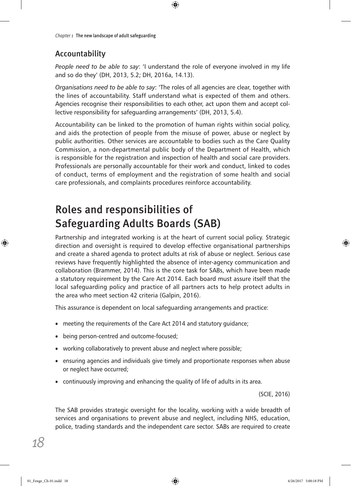#### Accountability

*People need to be able to say*: 'I understand the role of everyone involved in my life and so do they' (DH, 2013, 5.2; DH, 2016a, 14.13).

 $\bigoplus$ 

*Organisations need to be able to say*: 'The roles of all agencies are clear, together with the lines of accountability. Staff understand what is expected of them and others. Agencies recognise their responsibilities to each other, act upon them and accept collective responsibility for safeguarding arrangements' (DH, 2013, 5.4).

Accountability can be linked to the promotion of human rights within social policy, and aids the protection of people from the misuse of power, abuse or neglect by public authorities. Other services are accountable to bodies such as the Care Quality Commission, a non-departmental public body of the Department of Health, which is responsible for the registration and inspection of health and social care providers. Professionals are personally accountable for their work and conduct, linked to codes of conduct, terms of employment and the registration of some health and social care professionals, and complaints procedures reinforce accountability.

## Roles and responsibilities of Safeguarding Adults Boards (SAB)

Partnership and integrated working is at the heart of current social policy. Strategic direction and oversight is required to develop effective organisational partnerships and create a shared agenda to protect adults at risk of abuse or neglect. Serious case reviews have frequently highlighted the absence of inter-agency communication and collaboration (Brammer, 2014). This is the core task for SABs, which have been made a statutory requirement by the Care Act 2014. Each board must assure itself that the local safeguarding policy and practice of all partners acts to help protect adults in the area who meet section 42 criteria (Galpin, 2016).

This assurance is dependent on local safeguarding arrangements and practice:

- meeting the requirements of the Care Act 2014 and statutory guidance;
- being person-centred and outcome-focused;
- working collaboratively to prevent abuse and neglect where possible;
- ensuring agencies and individuals give timely and proportionate responses when abuse or neglect have occurred;
- continuously improving and enhancing the quality of life of adults in its area.

(SCIE, 2016)

The SAB provides strategic oversight for the locality, working with a wide breadth of services and organisations to prevent abuse and neglect, including NHS, education, police, trading standards and the independent care sector. SABs are required to create

⊕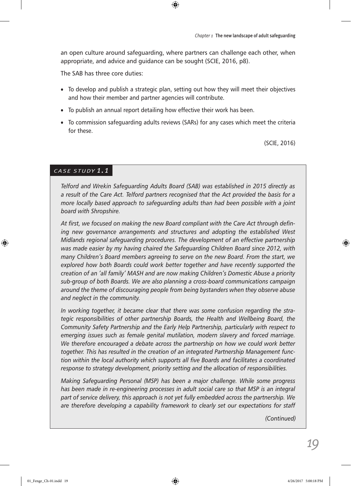an open culture around safeguarding, where partners can challenge each other, when appropriate, and advice and guidance can be sought (SCIE, 2016, p8).

 $\bigoplus$ 

The SAB has three core duties:

- To develop and publish a strategic plan, setting out how they will meet their objectives and how their member and partner agencies will contribute.
- To publish an annual report detailing how effective their work has been.
- To commission safeguarding adults reviews (SARs) for any cases which meet the criteria for these.

(SCIE, 2016)

#### *CASE STUDY 1.1*

*Telford and Wrekin Safeguarding Adults Board (SAB) was established in 2015 directly as a result of the Care Act. Telford partners recognised that the Act provided the basis for a more locally based approach to safeguarding adults than had been possible with a joint board with Shropshire.*

*At first, we focused on making the new Board compliant with the Care Act through defining new governance arrangements and structures and adopting the established West Midlands regional safeguarding procedures. The development of an effective partnership was made easier by my having chaired the Safeguarding Children Board since 2012, with many Children's Board members agreeing to serve on the new Board. From the start, we explored how both Boards could work better together and have recently supported the creation of an 'all family' MASH and are now making Children's Domestic Abuse a priority sub-group of both Boards. We are also planning a cross-board communications campaign around the theme of discouraging people from being bystanders when they observe abuse and neglect in the community.*

*In working together, it became clear that there was some confusion regarding the strategic responsibilities of other partnership Boards, the Health and Wellbeing Board, the Community Safety Partnership and the Early Help Partnership, particularly with respect to emerging issues such as female genital mutilation, modern slavery and forced marriage. We therefore encouraged a debate across the partnership on how we could work better together. This has resulted in the creation of an integrated Partnership Management function within the local authority which supports all five Boards and facilitates a coordinated response to strategy development, priority setting and the allocation of responsibilities.*

*Making Safeguarding Personal (MSP) has been a major challenge. While some progress*  has been made in re-engineering processes in adult social care so that MSP is an integral *part of service delivery, this approach is not yet fully embedded across the partnership. We are therefore developing a capability framework to clearly set our expectations for staff* 

*(Continued)*

⊕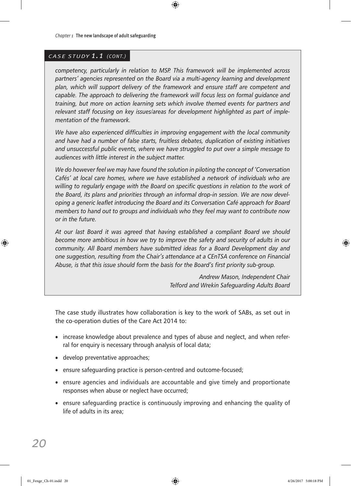#### *CASE STUDY 1.1 (CONT.)*

*competency, particularly in relation to MSP. This framework will be implemented across partners' agencies represented on the Board via a multi-agency learning and development plan, which will support delivery of the framework and ensure staff are competent and capable. The approach to delivering the framework will focus less on formal guidance and training, but more on action learning sets which involve themed events for partners and relevant staff focusing on key issues/areas for development highlighted as part of implementation of the framework.*

 $\textcolor{blue}{\bigcirc}$ 

*We have also experienced difficulties in improving engagement with the local community and have had a number of false starts, fruitless debates, duplication of existing initiatives and unsuccessful public events, where we have struggled to put over a simple message to audiences with little interest in the subject matter.*

*We do however feel we may have found the solution in piloting the concept of 'Conversation Cafés' at local care homes, where we have established a network of individuals who are willing to regularly engage with the Board on specific questions in relation to the work of the Board, its plans and priorities through an informal drop-in session. We are now developing a generic leaflet introducing the Board and its Conversation Café approach for Board members to hand out to groups and individuals who they feel may want to contribute now or in the future.*

*At our last Board it was agreed that having established a compliant Board we should become more ambitious in how we try to improve the safety and security of adults in our community. All Board members have submitted ideas for a Board Development day and one suggestion, resulting from the Chair's attendance at a CEnTSA conference on Financial Abuse, is that this issue should form the basis for the Board's first priority sub-group.*

> *Andrew Mason, Independent Chair Telford and Wrekin Safeguarding Adults Board*

The case study illustrates how collaboration is key to the work of SABs, as set out in the co-operation duties of the Care Act 2014 to:

- increase knowledge about prevalence and types of abuse and neglect, and when referral for enquiry is necessary through analysis of local data;
- develop preventative approaches;
- ensure safeguarding practice is person-centred and outcome-focused;
- ensure agencies and individuals are accountable and give timely and proportionate responses when abuse or neglect have occurred;
- ensure safeguarding practice is continuously improving and enhancing the quality of life of adults in its area;

*20*

⊕